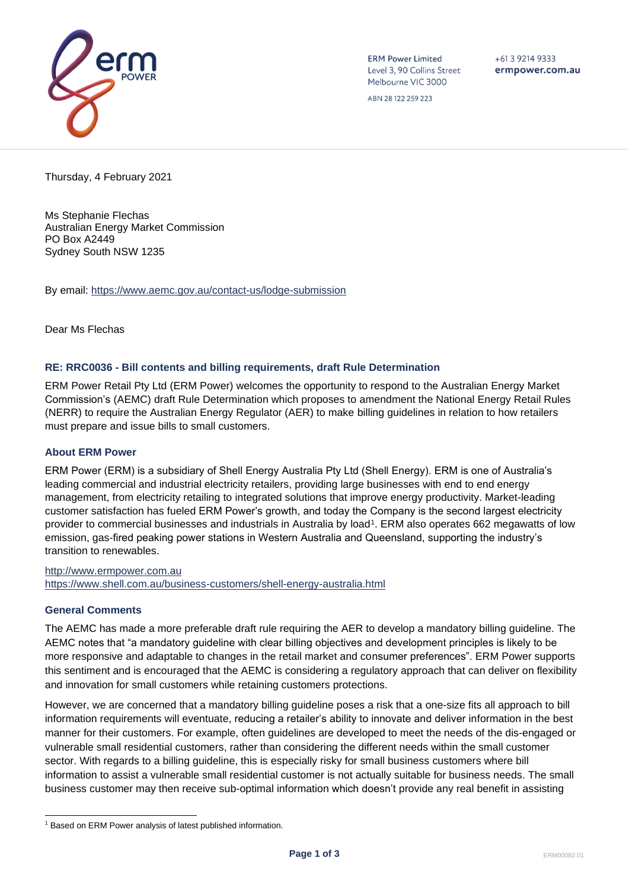

**ERM Power Limited** Level 3, 90 Collins Street Melbourne VIC 3000

 $+61$  3 9214 9333 ermpower.com.au

ABN 28 122 259 223

Thursday, 4 February 2021

Ms Stephanie Flechas Australian Energy Market Commission PO Box A2449 Sydney South NSW 1235

By email:<https://www.aemc.gov.au/contact-us/lodge-submission>

Dear Ms Flechas

# **RE: RRC0036 - Bill contents and billing requirements, draft Rule Determination**

ERM Power Retail Pty Ltd (ERM Power) welcomes the opportunity to respond to the Australian Energy Market Commission's (AEMC) draft Rule Determination which proposes to amendment the National Energy Retail Rules (NERR) to require the Australian Energy Regulator (AER) to make billing guidelines in relation to how retailers must prepare and issue bills to small customers.

# **About ERM Power**

ERM Power (ERM) is a subsidiary of Shell Energy Australia Pty Ltd (Shell Energy). ERM is one of Australia's leading commercial and industrial electricity retailers, providing large businesses with end to end energy management, from electricity retailing to integrated solutions that improve energy productivity. Market-leading customer satisfaction has fueled ERM Power's growth, and today the Company is the second largest electricity provider to commercial businesses and industrials in Australia by load<sup>1</sup>. ERM also operates 662 megawatts of low emission, gas-fired peaking power stations in Western Australia and Queensland, supporting the industry's transition to renewables.

[http://www.ermpower.com.au](http://www.ermpower.com.au/) <https://www.shell.com.au/business-customers/shell-energy-australia.html>

# **General Comments**

The AEMC has made a more preferable draft rule requiring the AER to develop a mandatory billing guideline. The AEMC notes that "a mandatory guideline with clear billing objectives and development principles is likely to be more responsive and adaptable to changes in the retail market and consumer preferences". ERM Power supports this sentiment and is encouraged that the AEMC is considering a regulatory approach that can deliver on flexibility and innovation for small customers while retaining customers protections.

However, we are concerned that a mandatory billing guideline poses a risk that a one-size fits all approach to bill information requirements will eventuate, reducing a retailer's ability to innovate and deliver information in the best manner for their customers. For example, often guidelines are developed to meet the needs of the dis-engaged or vulnerable small residential customers, rather than considering the different needs within the small customer sector. With regards to a billing guideline, this is especially risky for small business customers where bill information to assist a vulnerable small residential customer is not actually suitable for business needs. The small business customer may then receive sub-optimal information which doesn't provide any real benefit in assisting

<sup>&</sup>lt;sup>1</sup> Based on ERM Power analysis of latest published information.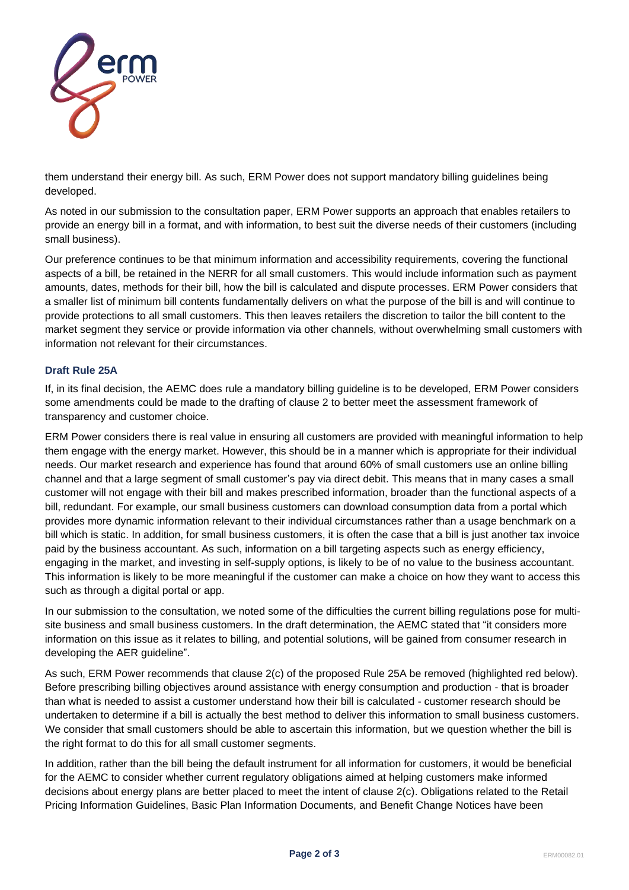

them understand their energy bill. As such, ERM Power does not support mandatory billing guidelines being developed.

As noted in our submission to the consultation paper, ERM Power supports an approach that enables retailers to provide an energy bill in a format, and with information, to best suit the diverse needs of their customers (including small business).

Our preference continues to be that minimum information and accessibility requirements, covering the functional aspects of a bill, be retained in the NERR for all small customers. This would include information such as payment amounts, dates, methods for their bill, how the bill is calculated and dispute processes. ERM Power considers that a smaller list of minimum bill contents fundamentally delivers on what the purpose of the bill is and will continue to provide protections to all small customers. This then leaves retailers the discretion to tailor the bill content to the market segment they service or provide information via other channels, without overwhelming small customers with information not relevant for their circumstances.

# **Draft Rule 25A**

If, in its final decision, the AEMC does rule a mandatory billing guideline is to be developed, ERM Power considers some amendments could be made to the drafting of clause 2 to better meet the assessment framework of transparency and customer choice.

ERM Power considers there is real value in ensuring all customers are provided with meaningful information to help them engage with the energy market. However, this should be in a manner which is appropriate for their individual needs. Our market research and experience has found that around 60% of small customers use an online billing channel and that a large segment of small customer's pay via direct debit. This means that in many cases a small customer will not engage with their bill and makes prescribed information, broader than the functional aspects of a bill, redundant. For example, our small business customers can download consumption data from a portal which provides more dynamic information relevant to their individual circumstances rather than a usage benchmark on a bill which is static. In addition, for small business customers, it is often the case that a bill is just another tax invoice paid by the business accountant. As such, information on a bill targeting aspects such as energy efficiency, engaging in the market, and investing in self-supply options, is likely to be of no value to the business accountant. This information is likely to be more meaningful if the customer can make a choice on how they want to access this such as through a digital portal or app.

In our submission to the consultation, we noted some of the difficulties the current billing regulations pose for multisite business and small business customers. In the draft determination, the AEMC stated that "it considers more information on this issue as it relates to billing, and potential solutions, will be gained from consumer research in developing the AER guideline".

As such, ERM Power recommends that clause 2(c) of the proposed Rule 25A be removed (highlighted red below). Before prescribing billing objectives around assistance with energy consumption and production - that is broader than what is needed to assist a customer understand how their bill is calculated - customer research should be undertaken to determine if a bill is actually the best method to deliver this information to small business customers. We consider that small customers should be able to ascertain this information, but we question whether the bill is the right format to do this for all small customer segments.

In addition, rather than the bill being the default instrument for all information for customers, it would be beneficial for the AEMC to consider whether current regulatory obligations aimed at helping customers make informed decisions about energy plans are better placed to meet the intent of clause 2(c). Obligations related to the Retail Pricing Information Guidelines, Basic Plan Information Documents, and Benefit Change Notices have been